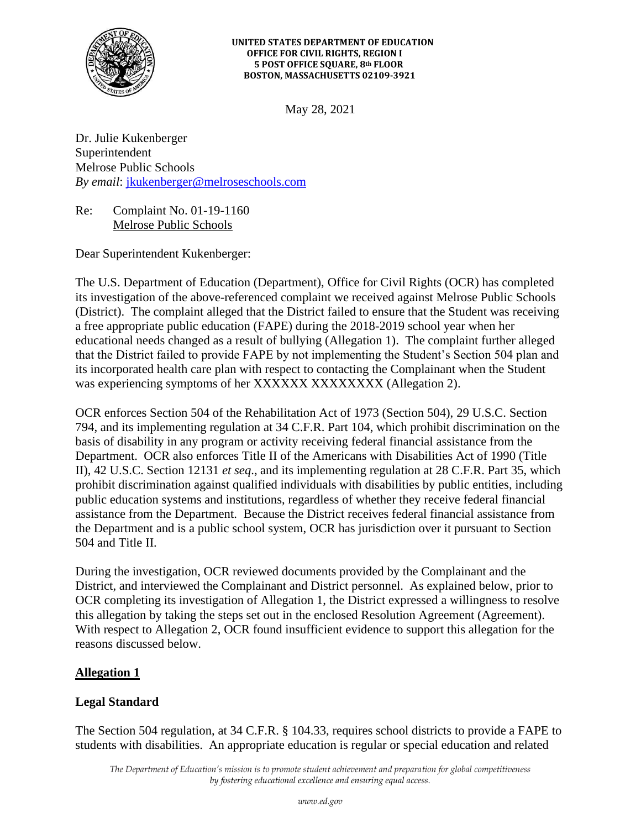

#### **UNITED STATES DEPARTMENT OF EDUCATION OFFICE FOR CIVIL RIGHTS, REGION I 5 POST OFFICE SQUARE, 8th FLOOR BOSTON, MASSACHUSETTS 02109-3921**

May 28, 2021

Dr. Julie Kukenberger Superintendent Melrose Public Schools *By email*: [jkukenberger@melroseschools.com](mailto:jkukenberger@melroseschools.com)

Re: Complaint No. 01-19-1160 Melrose Public Schools

Dear Superintendent Kukenberger:

The U.S. Department of Education (Department), Office for Civil Rights (OCR) has completed its investigation of the above-referenced complaint we received against Melrose Public Schools (District). The complaint alleged that the District failed to ensure that the Student was receiving a free appropriate public education (FAPE) during the 2018-2019 school year when her educational needs changed as a result of bullying (Allegation 1). The complaint further alleged that the District failed to provide FAPE by not implementing the Student's Section 504 plan and its incorporated health care plan with respect to contacting the Complainant when the Student was experiencing symptoms of her XXXXXXX XXXXXXXX (Allegation 2).

OCR enforces Section 504 of the Rehabilitation Act of 1973 (Section 504), 29 U.S.C. Section 794, and its implementing regulation at 34 C.F.R. Part 104, which prohibit discrimination on the basis of disability in any program or activity receiving federal financial assistance from the Department. OCR also enforces Title II of the Americans with Disabilities Act of 1990 (Title II), 42 U.S.C. Section 12131 *et seq*., and its implementing regulation at 28 C.F.R. Part 35, which prohibit discrimination against qualified individuals with disabilities by public entities, including public education systems and institutions, regardless of whether they receive federal financial assistance from the Department. Because the District receives federal financial assistance from the Department and is a public school system, OCR has jurisdiction over it pursuant to Section 504 and Title II.

During the investigation, OCR reviewed documents provided by the Complainant and the District, and interviewed the Complainant and District personnel. As explained below, prior to OCR completing its investigation of Allegation 1, the District expressed a willingness to resolve this allegation by taking the steps set out in the enclosed Resolution Agreement (Agreement). With respect to Allegation 2, OCR found insufficient evidence to support this allegation for the reasons discussed below.

## **Allegation 1**

## **Legal Standard**

The Section 504 regulation, at 34 C.F.R. § 104.33, requires school districts to provide a FAPE to students with disabilities. An appropriate education is regular or special education and related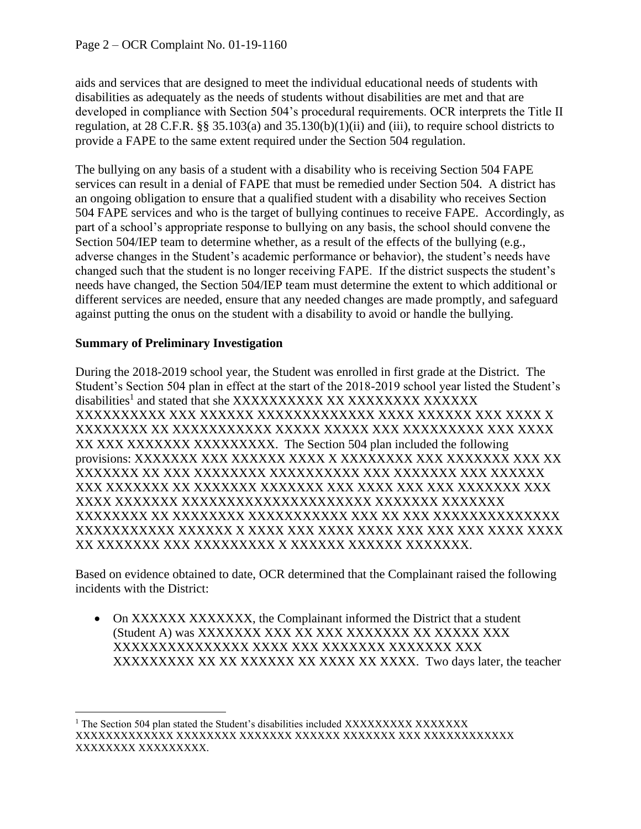aids and services that are designed to meet the individual educational needs of students with disabilities as adequately as the needs of students without disabilities are met and that are developed in compliance with Section 504's procedural requirements. OCR interprets the Title II regulation, at 28 C.F.R. §§ 35.103(a) and 35.130(b)(1)(ii) and (iii), to require school districts to provide a FAPE to the same extent required under the Section 504 regulation.

The bullying on any basis of a student with a disability who is receiving Section 504 FAPE services can result in a denial of FAPE that must be remedied under Section 504. A district has an ongoing obligation to ensure that a qualified student with a disability who receives Section 504 FAPE services and who is the target of bullying continues to receive FAPE. Accordingly, as part of a school's appropriate response to bullying on any basis, the school should convene the Section 504/IEP team to determine whether, as a result of the effects of the bullying (e.g., adverse changes in the Student's academic performance or behavior), the student's needs have changed such that the student is no longer receiving FAPE. If the district suspects the student's needs have changed, the Section 504/IEP team must determine the extent to which additional or different services are needed, ensure that any needed changes are made promptly, and safeguard against putting the onus on the student with a disability to avoid or handle the bullying.

# **Summary of Preliminary Investigation**

During the 2018-2019 school year, the Student was enrolled in first grade at the District. The Student's Section 504 plan in effect at the start of the 2018-2019 school year listed the Student's disabilities<sup>1</sup> and stated that she XXXXXXXXXX XX XXXXXXX XXXXXX XXXXXXXXXX XXX XXXXXX XXXXXXXXXXXXX XXXX XXXXXX XXX XXXX X XXXXXXXX XX XXXXXXXXXXX XXXXX XXXXX XXX XXXXXXXXX XXX XXXX XX XXX XXXXXXX XXXXXXXXX. The Section 504 plan included the following provisions: XXXXXXX XXX XXXXXX XXXX X XXXXXXXX XXX XXXXXXX XXX XX XXXXXXX XX XXX XXXXXXXX XXXXXXXXXX XXX XXXXXXX XXX XXXXXX XXX XXXXXXX XX XXXXXXX XXXXXXX XXX XXXX XXX XXX XXXXXXX XXX XXXX XXXXXXX XXXXXXXXXXXXXXXXXXXXX XXXXXXX XXXXXXX XXXXXXXX XX XXXXXXXX XXXXXXXXXXX XXX XX XXX XXXXXXXXXXXXXX XXXXXXXXXXX XXXXXX X XXXX XXX XXXX XXXX XXX XXX XXX XXXX XXXX XX XXXXXXX XXX XXXXXXXXX X XXXXXX XXXXXX XXXXXXX.

Based on evidence obtained to date, OCR determined that the Complainant raised the following incidents with the District:

• On XXXXXXXXXXXXXX, the Complainant informed the District that a student (Student A) was XXXXXXX XXX XX XXX XXXXXXX XX XXXXX XXX XXXXXXXXXXXXXXX XXXX XXX XXXXXXX XXXXXXX XXX XXXXXXXXX XX XX XXXXXX XX XXXX XX XXXXX. Two days later, the teacher

<sup>&</sup>lt;sup>1</sup> The Section 504 plan stated the Student's disabilities included XXXXXXXXX XXXXXXX XXXXXXXXXXXXX XXXXXXXX XXXXXXX XXXXXX XXXXXXX XXX XXXXXXXXXXXX XXXXXXXX XXXXXXXXX.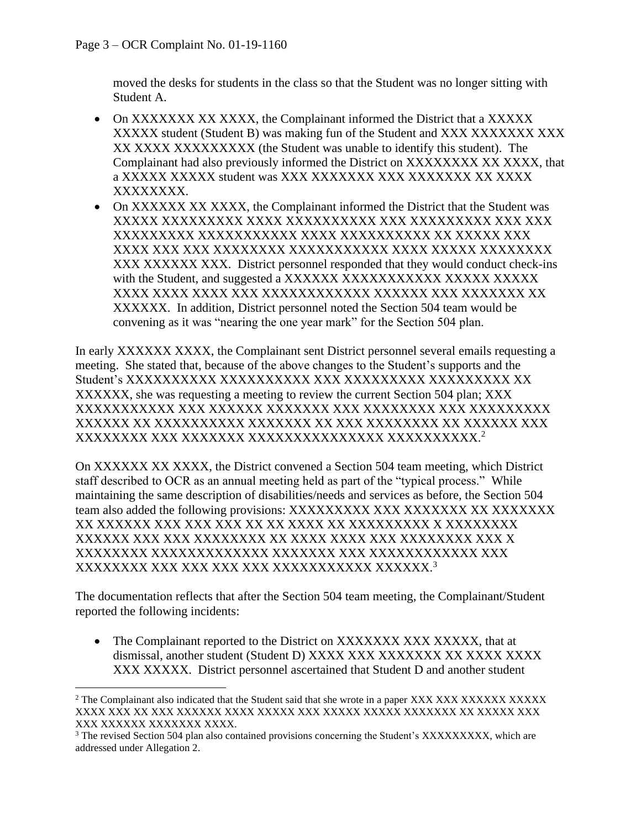moved the desks for students in the class so that the Student was no longer sitting with Student A.

- On XXXXXXX XX XXXX, the Complainant informed the District that a XXXXX XXXXX student (Student B) was making fun of the Student and XXX XXXXXXX XXX XX XXXX XXXXXXXXX (the Student was unable to identify this student). The Complainant had also previously informed the District on XXXXXXXX XX XXXX, that a XXXXX XXXXX student was XXX XXXXXXX XXX XXXXXXX XX XXXX XXXXXXXX.
- On XXXXXX XX XXXX, the Complainant informed the District that the Student was XXXXX XXXXXXXXX XXXX XXXXXXXXXX XXX XXXXXXXXX XXX XXX XXXXXXXXX XXXXXXXXXXX XXXX XXXXXXXXXX XX XXXXX XXX XXXX XXX XXX XXXXXXXX XXXXXXXXXXX XXXX XXXXX XXXXXXXX XXX XXXXXX XXX. District personnel responded that they would conduct check-ins with the Student, and suggested a XXXXXX XXXXXXXXXXX XXXXX XXXXX XXXX XXXX XXXX XXX XXXXXXXXXXXX XXXXXX XXX XXXXXXX XX XXXXXX. In addition, District personnel noted the Section 504 team would be convening as it was "nearing the one year mark" for the Section 504 plan.

In early XXXXXX XXXX, the Complainant sent District personnel several emails requesting a meeting. She stated that, because of the above changes to the Student's supports and the Student's XXXXXXXXXX XXXXXXXXXX XXX XXXXXXXXX XXXXXXXXX XX XXXXXX, she was requesting a meeting to review the current Section 504 plan; XXX XXXXXXXXXXX XXX XXXXXX XXXXXXX XXX XXXXXXXX XXX XXXXXXXXX XXXXXX XX XXXXXXXXXX XXXXXXX XX XXX XXXXXXXX XX XXXXXX XXX XXXXXXXX XXX XXXXXXX XXXXXXXXXXXXXXX XXXXXXXXXX. 2

On XXXXXX XX XXXX, the District convened a Section 504 team meeting, which District staff described to OCR as an annual meeting held as part of the "typical process." While maintaining the same description of disabilities/needs and services as before, the Section 504 team also added the following provisions: XXXXXXXXX XXX XXXXXXX XX XXXXXXX XX XXXXXX XXX XXX XXX XX XX XXXX XX XXXXXXXXX X XXXXXXXX XXXXXX XXX XXX XXXXXXXX XX XXXX XXXX XXX XXXXXXXX XXX X XXXXXXXX XXXXXXXXXXXXX XXXXXXX XXX XXXXXXXXXXXX XXX XXXXXXXX XXX XXX XXX XXX XXXXXXXXXXX XXXXXX. 3

The documentation reflects that after the Section 504 team meeting, the Complainant/Student reported the following incidents:

• The Complainant reported to the District on XXXXXXX XXX XXXXX, that at dismissal, another student (Student D) XXXX XXX XXXXXXX XX XXXX XXXX XXX XXXXX. District personnel ascertained that Student D and another student

<sup>&</sup>lt;sup>2</sup> The Complainant also indicated that the Student said that she wrote in a paper XXX XXX XXXXXX XXXXX XXXX XXX XX XXX XXXXXX XXXX XXXXX XXX XXXXX XXXXX XXXXXXX XX XXXXX XXX XXX XXXXXX XXXXXXX XXXX.

<sup>&</sup>lt;sup>3</sup> The revised Section 504 plan also contained provisions concerning the Student's XXXXXXXXX, which are addressed under Allegation 2.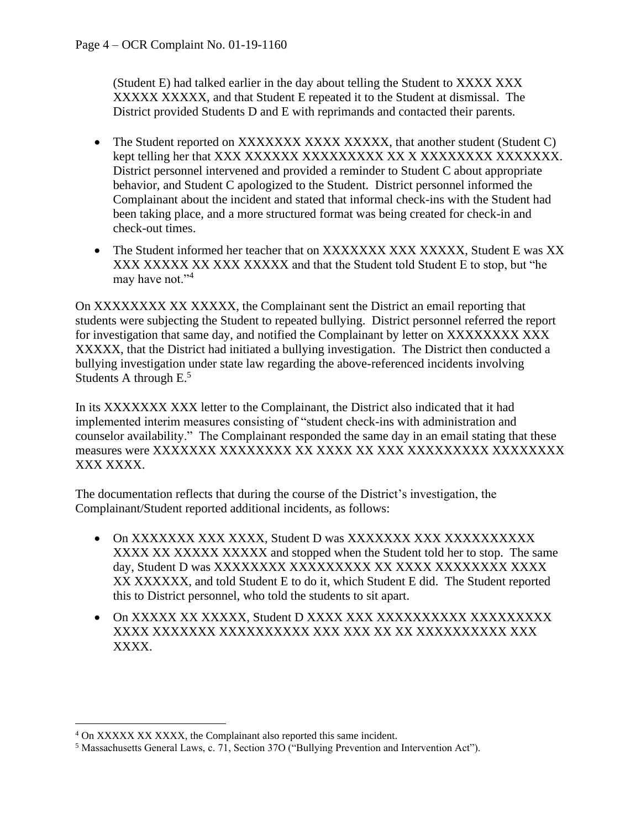(Student E) had talked earlier in the day about telling the Student to XXXX XXX XXXXX XXXXX, and that Student E repeated it to the Student at dismissal. The District provided Students D and E with reprimands and contacted their parents.

- The Student reported on XXXXXXX XXXX XXXXX, that another student (Student C) kept telling her that XXX XXXXXX XXXXXXXXX XX X XXXXXXXX XXXXXXX. District personnel intervened and provided a reminder to Student C about appropriate behavior, and Student C apologized to the Student. District personnel informed the Complainant about the incident and stated that informal check-ins with the Student had been taking place, and a more structured format was being created for check-in and check-out times.
- The Student informed her teacher that on XXXXXXX XXX XXXXX, Student E was XX XXX XXXXX XXXXXXXXX and that the Student told Student E to stop, but "he may have not."<sup>4</sup>

On XXXXXXXX XX XXXXX, the Complainant sent the District an email reporting that students were subjecting the Student to repeated bullying. District personnel referred the report for investigation that same day, and notified the Complainant by letter on XXXXXXXX XXX XXXXX, that the District had initiated a bullying investigation. The District then conducted a bullying investigation under state law regarding the above-referenced incidents involving Students A through  $E^5$ .

In its XXXXXXX XXX letter to the Complainant, the District also indicated that it had implemented interim measures consisting of "student check-ins with administration and counselor availability." The Complainant responded the same day in an email stating that these measures were XXXXXXX XXXXXXXX XX XXXX XX XXX XXXXXXXXX XXXXXXXX XXX XXXX.

The documentation reflects that during the course of the District's investigation, the Complainant/Student reported additional incidents, as follows:

- On XXXXXXX XXX XXXX, Student D was XXXXXXX XXX XXXXXXXXXX XXXX XX XXXXX XXXXX and stopped when the Student told her to stop. The same day, Student D was XXXXXXXX XXXXXXXXX XX XXXX XXXXXXXX XXXX XX XXXXXX, and told Student E to do it, which Student E did. The Student reported this to District personnel, who told the students to sit apart.
- On XXXXX XX XXXXX, Student D XXXX XXX XXXXXXXXXX XXXXXXXXX XXXX XXXXXXX XXXXXXXXXX XXX XXX XX XX XXXXXXXXXX XXX XXXX.

<sup>4</sup> On XXXXX XX XXXX, the Complainant also reported this same incident.

<sup>5</sup> Massachusetts General Laws, c. 71, Section 37O ("Bullying Prevention and Intervention Act").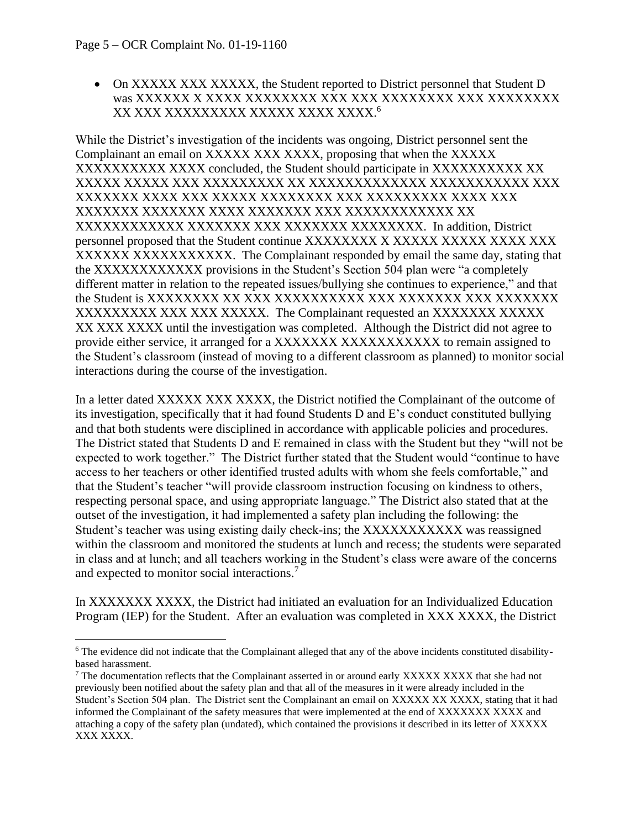• On XXXXX XXXXXXX, the Student reported to District personnel that Student D was XXXXXX X XXXX XXXXXXXX XXX XXX XXXXXXXX XXX XXXXXXXX XX XXX XXXXXXXXX XXXXX XXXX XXXX. 6

While the District's investigation of the incidents was ongoing, District personnel sent the Complainant an email on XXXXX XXX XXXX, proposing that when the XXXXX XXXXXXXXXXXXXXX concluded, the Student should participate in XXXXXXXXXXXXXX XXXXX XXXXX XXX XXXXXXXXX XX XXXXXXXXXXXXX XXXXXXXXXXX XXX XXXXXXX XXXX XXX XXXXX XXXXXXXX XXX XXXXXXXXX XXXX XXX XXXXXXX XXXXXXX XXXX XXXXXXX XXX XXXXXXXXXXXX XX XXXXXXXXXXXX XXXXXXX XXX XXXXXXX XXXXXXXX. In addition, District personnel proposed that the Student continue XXXXXXXX X XXXXX XXXXX XXXX XXX XXXXXXXXXXXXXXXXXX. The Complainant responded by email the same day, stating that the XXXXXXXXXXXX provisions in the Student's Section 504 plan were "a completely different matter in relation to the repeated issues/bullying she continues to experience," and that the Student is XXXXXXXX XX XXX XXXXXXXXXX XXX XXXXXXX XXX XXXXXXX XXXXXXXXX XXX XXX XXXXX. The Complainant requested an XXXXXXX XXXXX XX XXX XXXX until the investigation was completed. Although the District did not agree to provide either service, it arranged for a XXXXXXXXXXXXXXXXXX to remain assigned to the Student's classroom (instead of moving to a different classroom as planned) to monitor social interactions during the course of the investigation.

In a letter dated XXXXX XXX XXXX, the District notified the Complainant of the outcome of its investigation, specifically that it had found Students D and E's conduct constituted bullying and that both students were disciplined in accordance with applicable policies and procedures. The District stated that Students D and E remained in class with the Student but they "will not be expected to work together." The District further stated that the Student would "continue to have access to her teachers or other identified trusted adults with whom she feels comfortable," and that the Student's teacher "will provide classroom instruction focusing on kindness to others, respecting personal space, and using appropriate language." The District also stated that at the outset of the investigation, it had implemented a safety plan including the following: the Student's teacher was using existing daily check-ins; the XXXXXXXXXXX was reassigned within the classroom and monitored the students at lunch and recess; the students were separated in class and at lunch; and all teachers working in the Student's class were aware of the concerns and expected to monitor social interactions.<sup>7</sup>

In XXXXXXX XXXX, the District had initiated an evaluation for an Individualized Education Program (IEP) for the Student. After an evaluation was completed in XXX XXXX, the District

<sup>&</sup>lt;sup>6</sup> The evidence did not indicate that the Complainant alleged that any of the above incidents constituted disabilitybased harassment.

<sup>&</sup>lt;sup>7</sup> The documentation reflects that the Complainant asserted in or around early XXXXX XXXX that she had not previously been notified about the safety plan and that all of the measures in it were already included in the Student's Section 504 plan. The District sent the Complainant an email on XXXXX XX XXXX, stating that it had informed the Complainant of the safety measures that were implemented at the end of XXXXXXX XXXX and attaching a copy of the safety plan (undated), which contained the provisions it described in its letter of XXXXX XXX XXXX.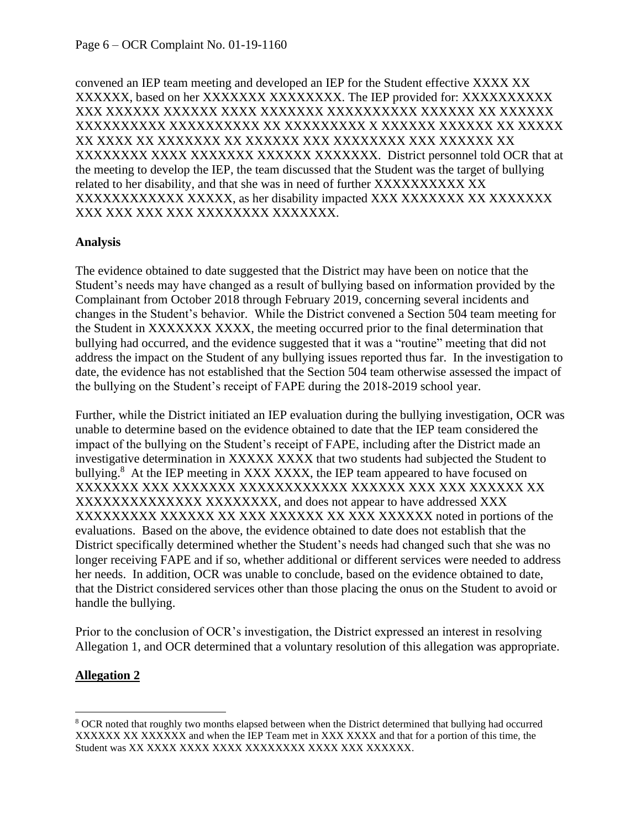convened an IEP team meeting and developed an IEP for the Student effective XXXX XX XXXXXX, based on her XXXXXXX XXXXXXXX. The IEP provided for: XXXXXXXXXX XXX XXXXXX XXXXXX XXXX XXXXXXX XXXXXXXXXX XXXXXX XX XXXXXX XXXXXXXXXX XXXXXXXXXX XX XXXXXXXXX X XXXXXX XXXXXX XX XXXXX XX XXXX XX XXXXXXX XX XXXXXX XXX XXXXXXXX XXX XXXXXX XX XXXXXXXX XXXX XXXXXXX XXXXXXX XXXXXXX. District personnel told OCR that at the meeting to develop the IEP, the team discussed that the Student was the target of bullying related to her disability, and that she was in need of further XXXXXXXXXX XX XXXXXXXXXXXX XXXXX, as her disability impacted XXX XXXXXXX XX XXXXXXX XXX XXX XXX XXX XXXXXXXX XXXXXXX.

#### **Analysis**

The evidence obtained to date suggested that the District may have been on notice that the Student's needs may have changed as a result of bullying based on information provided by the Complainant from October 2018 through February 2019, concerning several incidents and changes in the Student's behavior. While the District convened a Section 504 team meeting for the Student in XXXXXXX XXXX, the meeting occurred prior to the final determination that bullying had occurred, and the evidence suggested that it was a "routine" meeting that did not address the impact on the Student of any bullying issues reported thus far. In the investigation to date, the evidence has not established that the Section 504 team otherwise assessed the impact of the bullying on the Student's receipt of FAPE during the 2018-2019 school year.

Further, while the District initiated an IEP evaluation during the bullying investigation, OCR was unable to determine based on the evidence obtained to date that the IEP team considered the impact of the bullying on the Student's receipt of FAPE, including after the District made an investigative determination in XXXXX XXXX that two students had subjected the Student to bullying.<sup>8</sup> At the IEP meeting in XXX XXXX, the IEP team appeared to have focused on XXXXXXX XXX XXXXXXX XXXXXXXXXXXX XXXXXX XXX XXX XXXXXX XX XXXXXXXXXXXXXX XXXXXXXX, and does not appear to have addressed XXX XXXXXXXXX XXXXXX XX XXX XXXXXX XX XXX XXXXXX noted in portions of the evaluations. Based on the above, the evidence obtained to date does not establish that the District specifically determined whether the Student's needs had changed such that she was no longer receiving FAPE and if so, whether additional or different services were needed to address her needs. In addition, OCR was unable to conclude, based on the evidence obtained to date, that the District considered services other than those placing the onus on the Student to avoid or handle the bullying.

Prior to the conclusion of OCR's investigation, the District expressed an interest in resolving Allegation 1, and OCR determined that a voluntary resolution of this allegation was appropriate.

## **Allegation 2**

<sup>&</sup>lt;sup>8</sup> OCR noted that roughly two months elapsed between when the District determined that bullying had occurred XXXXXX XX XXXXXX and when the IEP Team met in XXX XXXX and that for a portion of this time, the Student was XX XXXX XXXX XXXX XXXXXXXX XXXX XXX XXXXXX.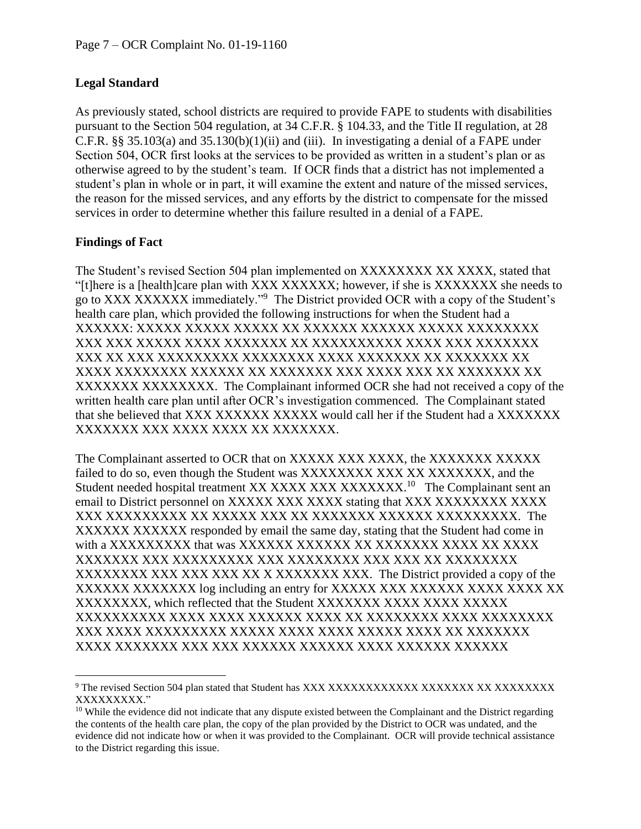# **Legal Standard**

As previously stated, school districts are required to provide FAPE to students with disabilities pursuant to the Section 504 regulation, at 34 C.F.R. § 104.33, and the Title II regulation, at 28 C.F.R.  $\S$ § 35.103(a) and 35.130(b)(1)(ii) and (iii). In investigating a denial of a FAPE under Section 504, OCR first looks at the services to be provided as written in a student's plan or as otherwise agreed to by the student's team. If OCR finds that a district has not implemented a student's plan in whole or in part, it will examine the extent and nature of the missed services, the reason for the missed services, and any efforts by the district to compensate for the missed services in order to determine whether this failure resulted in a denial of a FAPE.

# **Findings of Fact**

The Student's revised Section 504 plan implemented on XXXXXXXX XX XXXXX, stated that "[t]here is a [health]care plan with XXX XXXXXX; however, if she is XXXXXXX she needs to go to XXX XXXXXX immediately."<sup>9</sup> The District provided OCR with a copy of the Student's health care plan, which provided the following instructions for when the Student had a XXXXXX: XXXXX XXXXX XXXXX XX XXXXXX XXXXXX XXXXX XXXXXXXX XXX XXX XXXXX XXXX XXXXXXX XX XXXXXXXXXX XXXX XXX XXXXXXX XXX XX XXX XXXXXXXXX XXXXXXXX XXXX XXXXXXX XX XXXXXXX XX XXXX XXXXXXXX XXXXXX XX XXXXXXX XXX XXXX XXX XX XXXXXXX XX XXXXXXX XXXXXXXX. The Complainant informed OCR she had not received a copy of the written health care plan until after OCR's investigation commenced. The Complainant stated that she believed that XXX XXXXXX XXXXX would call her if the Student had a XXXXXXX XXXXXXX XXX XXXX XXXX XX XXXXXXX.

The Complainant asserted to OCR that on XXXXX XXX XXXX, the XXXXXXX XXXXX failed to do so, even though the Student was XXXXXXXX XXX XXXXXXXXX, and the Student needed hospital treatment XX XXXX XXX XXXXXXX.<sup>10</sup> The Complainant sent an email to District personnel on XXXXX XXX XXXX stating that XXX XXXXXXXX XXXX XXX XXXXXXXXX XX XXXXX XXX XX XXXXXXX XXXXXX XXXXXXXXX. The XXXXXX XXXXXX responded by email the same day, stating that the Student had come in with a XXXXXXXXX that was XXXXXX XXXXXX XX XXXXXXX XXXX XX XXXX XXXXXXX XXX XXXXXXXXX XXX XXXXXXXX XXX XXX XX XXXXXXXX XXXXXXXX XXX XXX XXX XXX XXXXXXXXXXX. The District provided a copy of the XXXXXX XXXXXXX log including an entry for XXXXX XXX XXXXXX XXXX XXXX XXX XXXXXXXX, which reflected that the Student XXXXXXX XXXX XXXX XXXXX XXXXXXXXXX XXXX XXXX XXXXXX XXXX XX XXXXXXXX XXXX XXXXXXXX XXX XXXX XXXXXXXXX XXXXX XXXX XXXX XXXXX XXXX XX XXXXXXX XXXX XXXXXXX XXX XXX XXXXXX XXXXXX XXXX XXXXXX XXXXXX

<sup>&</sup>lt;sup>9</sup> The revised Section 504 plan stated that Student has XXX XXXXXXXXXXX XXXXXXX XX XXXXXXXXX XXXXXXXXX."

 $10$  While the evidence did not indicate that any dispute existed between the Complainant and the District regarding the contents of the health care plan, the copy of the plan provided by the District to OCR was undated, and the evidence did not indicate how or when it was provided to the Complainant. OCR will provide technical assistance to the District regarding this issue.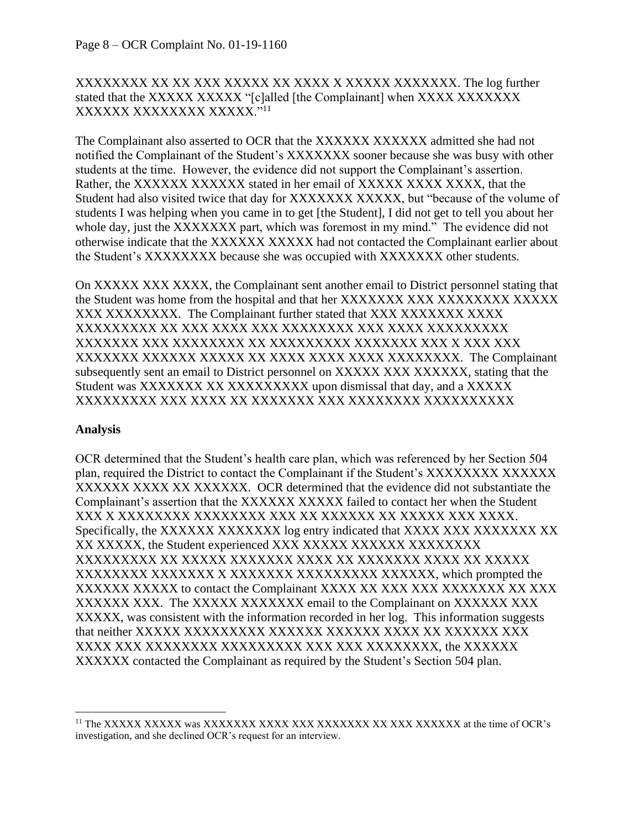## XXXXXXXX XX XX XXX XXXXX XX XXXX X XXXXX XXXXXXX. The log further stated that the XXXXX XXXXX "[c]alled [the Complainant] when XXXX XXXXXXXX XXXXXX XXXXXXXX XXXXX."<sup>11</sup>

The Complainant also asserted to OCR that the XXXXXX XXXXXX admitted she had not notified the Complainant of the Student's XXXXXXX sooner because she was busy with other students at the time. However, the evidence did not support the Complainant's assertion. Rather, the XXXXXX XXXXXX stated in her email of XXXXX XXXX XXXX, that the Student had also visited twice that day for XXXXXXXXXXXX, but "because of the volume of students I was helping when you came in to get [the Student], I did not get to tell you about her whole day, just the XXXXXXX part, which was foremost in my mind." The evidence did not otherwise indicate that the XXXXXX XXXXX had not contacted the Complainant earlier about the Student's XXXXXXXX because she was occupied with XXXXXXX other students.

On XXXXX XXX XXXX, the Complainant sent another email to District personnel stating that the Student was home from the hospital and that her XXXXXXX XXX XXXXXXXX XXXXXX XXX XXXXXXXX. The Complainant further stated that XXX XXXXXXX XXXX XXXXXXXXX XX XXX XXXX XXX XXXXXXXX XXX XXXX XXXXXXXXX XXXXXXX XXX XXXXXXXX XX XXXXXXXXX XXXXXXX XXX X XXX XXX XXXXXXX XXXXXX XXXXX XX XXXX XXXX XXXX XXXXXXXX. The Complainant subsequently sent an email to District personnel on XXXXX XXX XXXXXX, stating that the Student was XXXXXXX XX XXXXXXXXXX upon dismissal that day, and a XXXXX XXXXXXXXX XXX XXXX XX XXXXXXX XXX XXXXXXXX XXXXXXXXXX

## **Analysis**

OCR determined that the Student's health care plan, which was referenced by her Section 504 plan, required the District to contact the Complainant if the Student's XXXXXXXX XXXXXX XXXXXX XXXX XX XXXXXX. OCR determined that the evidence did not substantiate the Complainant's assertion that the XXXXXX XXXXX failed to contact her when the Student XXX X XXXXXXXX XXXXXXXX XXX XX XXXXXX XX XXXXX XXX XXXX. Specifically, the XXXXXX XXXXXXX log entry indicated that XXXX XXX XXXXXXX XX XX XXXXX, the Student experienced XXX XXXXX XXXXXX XXXXXXXX XXXXXXXXX XX XXXXX XXXXXXX XXXX XX XXXXXXX XXXX XX XXXXX XXXXXXXX XXXXXXX X XXXXXXX XXXXXXXXX XXXXXX, which prompted the XXXXXX XXXXX to contact the Complainant XXXX XX XXX XXX XXXXXXX XX XXX XXXXXX XXX. The XXXXX XXXXXXX email to the Complainant on XXXXXX XXX XXXXX, was consistent with the information recorded in her log. This information suggests that neither XXXXX XXXXXXXXX XXXXXX XXXXXX XXXX XX XXXXXX XXX XXXX XXX XXXXXXXX XXXXXXXXX XXX XXX XXXXXXXX, the XXXXXX XXXXXX contacted the Complainant as required by the Student's Section 504 plan.

<sup>11</sup> The XXXXX XXXXX was XXXXXXX XXXX XXX XXXXXXX XX XXX XXXXXX at the time of OCR's investigation, and she declined OCR's request for an interview.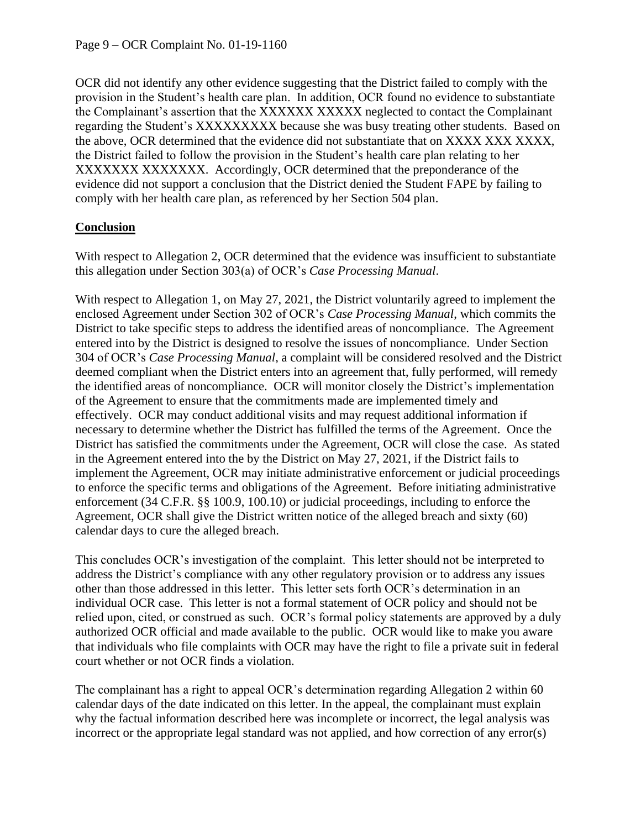OCR did not identify any other evidence suggesting that the District failed to comply with the provision in the Student's health care plan. In addition, OCR found no evidence to substantiate the Complainant's assertion that the XXXXXX XXXXX neglected to contact the Complainant regarding the Student's XXXXXXXXX because she was busy treating other students. Based on the above, OCR determined that the evidence did not substantiate that on XXXX XXX XXXX, the District failed to follow the provision in the Student's health care plan relating to her XXXXXXXXXXXXXXX. Accordingly, OCR determined that the preponderance of the evidence did not support a conclusion that the District denied the Student FAPE by failing to comply with her health care plan, as referenced by her Section 504 plan.

## **Conclusion**

With respect to Allegation 2, OCR determined that the evidence was insufficient to substantiate this allegation under Section 303(a) of OCR's *Case Processing Manual*.

With respect to Allegation 1, on May 27, 2021, the District voluntarily agreed to implement the enclosed Agreement under Section 302 of OCR's *Case Processing Manual*, which commits the District to take specific steps to address the identified areas of noncompliance. The Agreement entered into by the District is designed to resolve the issues of noncompliance. Under Section 304 of OCR's *Case Processing Manual*, a complaint will be considered resolved and the District deemed compliant when the District enters into an agreement that, fully performed, will remedy the identified areas of noncompliance. OCR will monitor closely the District's implementation of the Agreement to ensure that the commitments made are implemented timely and effectively. OCR may conduct additional visits and may request additional information if necessary to determine whether the District has fulfilled the terms of the Agreement. Once the District has satisfied the commitments under the Agreement, OCR will close the case. As stated in the Agreement entered into the by the District on May 27, 2021, if the District fails to implement the Agreement, OCR may initiate administrative enforcement or judicial proceedings to enforce the specific terms and obligations of the Agreement. Before initiating administrative enforcement (34 C.F.R. §§ 100.9, 100.10) or judicial proceedings, including to enforce the Agreement, OCR shall give the District written notice of the alleged breach and sixty (60) calendar days to cure the alleged breach.

This concludes OCR's investigation of the complaint. This letter should not be interpreted to address the District's compliance with any other regulatory provision or to address any issues other than those addressed in this letter. This letter sets forth OCR's determination in an individual OCR case. This letter is not a formal statement of OCR policy and should not be relied upon, cited, or construed as such. OCR's formal policy statements are approved by a duly authorized OCR official and made available to the public. OCR would like to make you aware that individuals who file complaints with OCR may have the right to file a private suit in federal court whether or not OCR finds a violation.

The complainant has a right to appeal OCR's determination regarding Allegation 2 within 60 calendar days of the date indicated on this letter. In the appeal, the complainant must explain why the factual information described here was incomplete or incorrect, the legal analysis was incorrect or the appropriate legal standard was not applied, and how correction of any error(s)